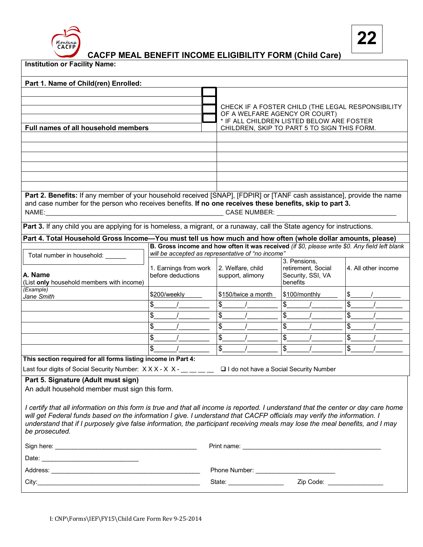

**CACFP MEAL BENEFIT INCOME ELIGIBILITY FORM (Child Care)**

| <b>Institution or Facility Name:</b>                                                                                                                                                                                                                                                                                                                                                                            |                                                                                               |                                             |                                                                                                |                     |
|-----------------------------------------------------------------------------------------------------------------------------------------------------------------------------------------------------------------------------------------------------------------------------------------------------------------------------------------------------------------------------------------------------------------|-----------------------------------------------------------------------------------------------|---------------------------------------------|------------------------------------------------------------------------------------------------|---------------------|
| Part 1. Name of Child(ren) Enrolled:                                                                                                                                                                                                                                                                                                                                                                            |                                                                                               |                                             |                                                                                                |                     |
|                                                                                                                                                                                                                                                                                                                                                                                                                 |                                                                                               | OF A WELFARE AGENCY OR COURT)               | CHECK IF A FOSTER CHILD (THE LEGAL RESPONSIBILITY<br>* IF ALL CHILDREN LISTED BELOW ARE FOSTER |                     |
| Full names of all household members                                                                                                                                                                                                                                                                                                                                                                             |                                                                                               | CHILDREN, SKIP TO PART 5 TO SIGN THIS FORM. |                                                                                                |                     |
|                                                                                                                                                                                                                                                                                                                                                                                                                 |                                                                                               |                                             |                                                                                                |                     |
|                                                                                                                                                                                                                                                                                                                                                                                                                 |                                                                                               |                                             |                                                                                                |                     |
|                                                                                                                                                                                                                                                                                                                                                                                                                 |                                                                                               |                                             |                                                                                                |                     |
|                                                                                                                                                                                                                                                                                                                                                                                                                 |                                                                                               |                                             |                                                                                                |                     |
|                                                                                                                                                                                                                                                                                                                                                                                                                 |                                                                                               |                                             |                                                                                                |                     |
| Part 2. Benefits: If any member of your household received [SNAP], [FDPIR] or [TANF cash assistance], provide the name<br>and case number for the person who receives benefits. If no one receives these benefits, skip to part 3.                                                                                                                                                                              |                                                                                               |                                             |                                                                                                |                     |
| Part 3. If any child you are applying for is homeless, a migrant, or a runaway, call the State agency for instructions.                                                                                                                                                                                                                                                                                         |                                                                                               |                                             |                                                                                                |                     |
| Part 4. Total Household Gross Income-You must tell us how much and how often (whole dollar amounts, please)                                                                                                                                                                                                                                                                                                     | B. Gross income and how often it was received (if \$0, please write \$0. Any field left blank |                                             |                                                                                                |                     |
| Total number in household: ______                                                                                                                                                                                                                                                                                                                                                                               | will be accepted as representative of "no income"                                             |                                             |                                                                                                |                     |
| A. Name<br>(List only household members with income)                                                                                                                                                                                                                                                                                                                                                            | 1. Earnings from work<br>before deductions                                                    | 2. Welfare, child<br>support, alimony       | 3. Pensions,<br>retirement, Social<br>Security, SSI, VA<br>benefits                            | 4. All other income |
| (Example)<br>Jane Smith                                                                                                                                                                                                                                                                                                                                                                                         | \$200/weekly                                                                                  | \$150/twice a month                         | \$100/monthly                                                                                  | \$                  |
|                                                                                                                                                                                                                                                                                                                                                                                                                 | \$                                                                                            | \$                                          | \$                                                                                             | \$                  |
|                                                                                                                                                                                                                                                                                                                                                                                                                 | \$                                                                                            | \$                                          | \$                                                                                             | \$                  |
|                                                                                                                                                                                                                                                                                                                                                                                                                 | \$                                                                                            | \$                                          | \$                                                                                             | \$                  |
|                                                                                                                                                                                                                                                                                                                                                                                                                 | \$                                                                                            | \$                                          | \$                                                                                             | \$                  |
|                                                                                                                                                                                                                                                                                                                                                                                                                 | \$                                                                                            | \$                                          | \$                                                                                             | \$                  |
| This section required for all forms listing income in Part 4:<br>Last four digits of Social Security Number: XXX-XX-<br>______                                                                                                                                                                                                                                                                                  |                                                                                               | □ I do not have a Social Security Number    |                                                                                                |                     |
| Part 5. Signature (Adult must sign)<br>An adult household member must sign this form.                                                                                                                                                                                                                                                                                                                           |                                                                                               |                                             |                                                                                                |                     |
| I certify that all information on this form is true and that all income is reported. I understand that the center or day care home<br>will get Federal funds based on the information I give. I understand that CACFP officials may verify the information. I<br>understand that if I purposely give false information, the participant receiving meals may lose the meal benefits, and I may<br>be prosecuted. |                                                                                               |                                             |                                                                                                |                     |
|                                                                                                                                                                                                                                                                                                                                                                                                                 |                                                                                               |                                             |                                                                                                |                     |
|                                                                                                                                                                                                                                                                                                                                                                                                                 |                                                                                               |                                             |                                                                                                |                     |
|                                                                                                                                                                                                                                                                                                                                                                                                                 |                                                                                               | Phone Number: ____________________________  |                                                                                                |                     |
|                                                                                                                                                                                                                                                                                                                                                                                                                 |                                                                                               | State: _____________________                | Zip Code: __________________                                                                   |                     |
|                                                                                                                                                                                                                                                                                                                                                                                                                 |                                                                                               |                                             |                                                                                                |                     |